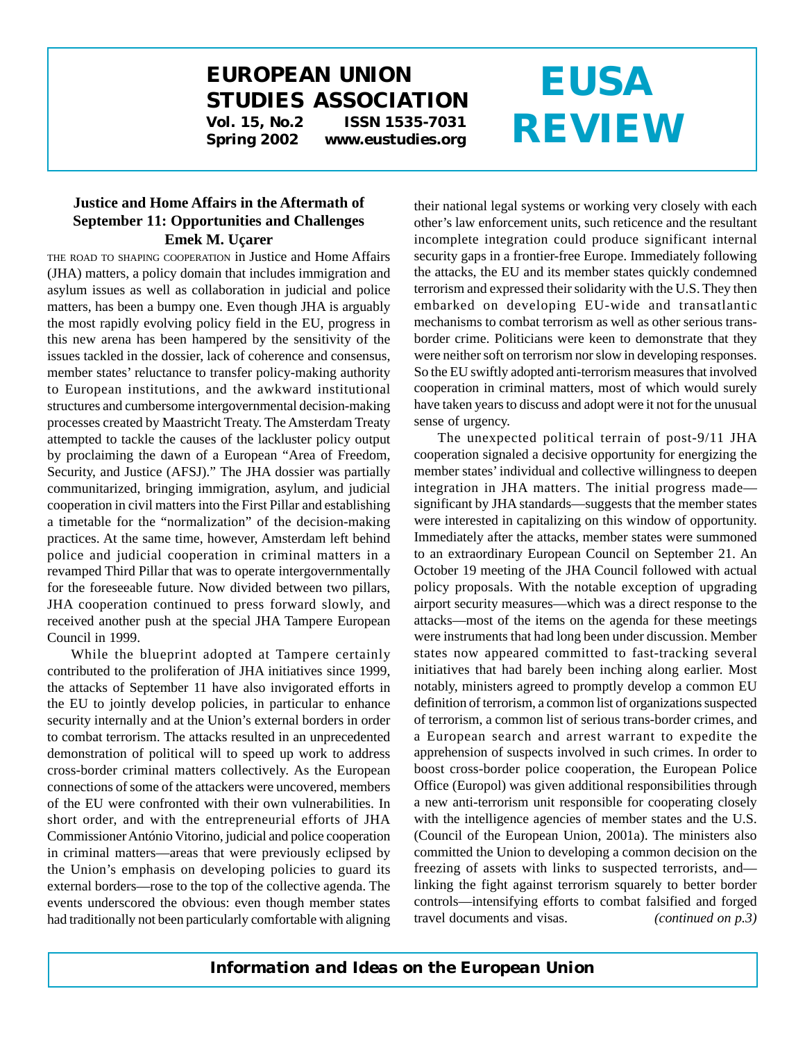# **EUROPEAN UNION STUDIES ASSOCIATION**

**Vol. 15, No.2 ISSN 1535-7031 Spring 2002 www.eustudies.org**

# **EUSA REVIEW**

#### **Justice and Home Affairs in the Aftermath of September 11: Opportunities and Challenges Emek M. Uçarer**

THE ROAD TO SHAPING COOPERATION in Justice and Home Affairs (JHA) matters, a policy domain that includes immigration and asylum issues as well as collaboration in judicial and police matters, has been a bumpy one. Even though JHA is arguably the most rapidly evolving policy field in the EU, progress in this new arena has been hampered by the sensitivity of the issues tackled in the dossier, lack of coherence and consensus, member states' reluctance to transfer policy-making authority to European institutions, and the awkward institutional structures and cumbersome intergovernmental decision-making processes created by Maastricht Treaty. The Amsterdam Treaty attempted to tackle the causes of the lackluster policy output by proclaiming the dawn of a European "Area of Freedom, Security, and Justice (AFSJ)." The JHA dossier was partially communitarized, bringing immigration, asylum, and judicial cooperation in civil matters into the First Pillar and establishing a timetable for the "normalization" of the decision-making practices. At the same time, however, Amsterdam left behind police and judicial cooperation in criminal matters in a revamped Third Pillar that was to operate intergovernmentally for the foreseeable future. Now divided between two pillars, JHA cooperation continued to press forward slowly, and received another push at the special JHA Tampere European Council in 1999.

While the blueprint adopted at Tampere certainly contributed to the proliferation of JHA initiatives since 1999, the attacks of September 11 have also invigorated efforts in the EU to jointly develop policies, in particular to enhance security internally and at the Union's external borders in order to combat terrorism. The attacks resulted in an unprecedented demonstration of political will to speed up work to address cross-border criminal matters collectively. As the European connections of some of the attackers were uncovered, members of the EU were confronted with their own vulnerabilities. In short order, and with the entrepreneurial efforts of JHA Commissioner António Vitorino, judicial and police cooperation in criminal matters—areas that were previously eclipsed by the Union's emphasis on developing policies to guard its external borders—rose to the top of the collective agenda. The events underscored the obvious: even though member states had traditionally not been particularly comfortable with aligning

their national legal systems or working very closely with each other's law enforcement units, such reticence and the resultant incomplete integration could produce significant internal security gaps in a frontier-free Europe. Immediately following the attacks, the EU and its member states quickly condemned terrorism and expressed their solidarity with the U.S. They then embarked on developing EU-wide and transatlantic mechanisms to combat terrorism as well as other serious transborder crime. Politicians were keen to demonstrate that they were neither soft on terrorism nor slow in developing responses. So the EU swiftly adopted anti-terrorism measures that involved cooperation in criminal matters, most of which would surely have taken years to discuss and adopt were it not for the unusual sense of urgency.

The unexpected political terrain of post-9/11 JHA cooperation signaled a decisive opportunity for energizing the member states' individual and collective willingness to deepen integration in JHA matters. The initial progress made significant by JHA standards—suggests that the member states were interested in capitalizing on this window of opportunity. Immediately after the attacks, member states were summoned to an extraordinary European Council on September 21. An October 19 meeting of the JHA Council followed with actual policy proposals. With the notable exception of upgrading airport security measures—which was a direct response to the attacks—most of the items on the agenda for these meetings were instruments that had long been under discussion. Member states now appeared committed to fast-tracking several initiatives that had barely been inching along earlier. Most notably, ministers agreed to promptly develop a common EU definition of terrorism, a common list of organizations suspected of terrorism, a common list of serious trans-border crimes, and a European search and arrest warrant to expedite the apprehension of suspects involved in such crimes. In order to boost cross-border police cooperation, the European Police Office (Europol) was given additional responsibilities through a new anti-terrorism unit responsible for cooperating closely with the intelligence agencies of member states and the U.S. (Council of the European Union, 2001a). The ministers also committed the Union to developing a common decision on the freezing of assets with links to suspected terrorists, and linking the fight against terrorism squarely to better border controls—intensifying efforts to combat falsified and forged travel documents and visas. *(continued on p.3)*

## *Information and Ideas on the European Union*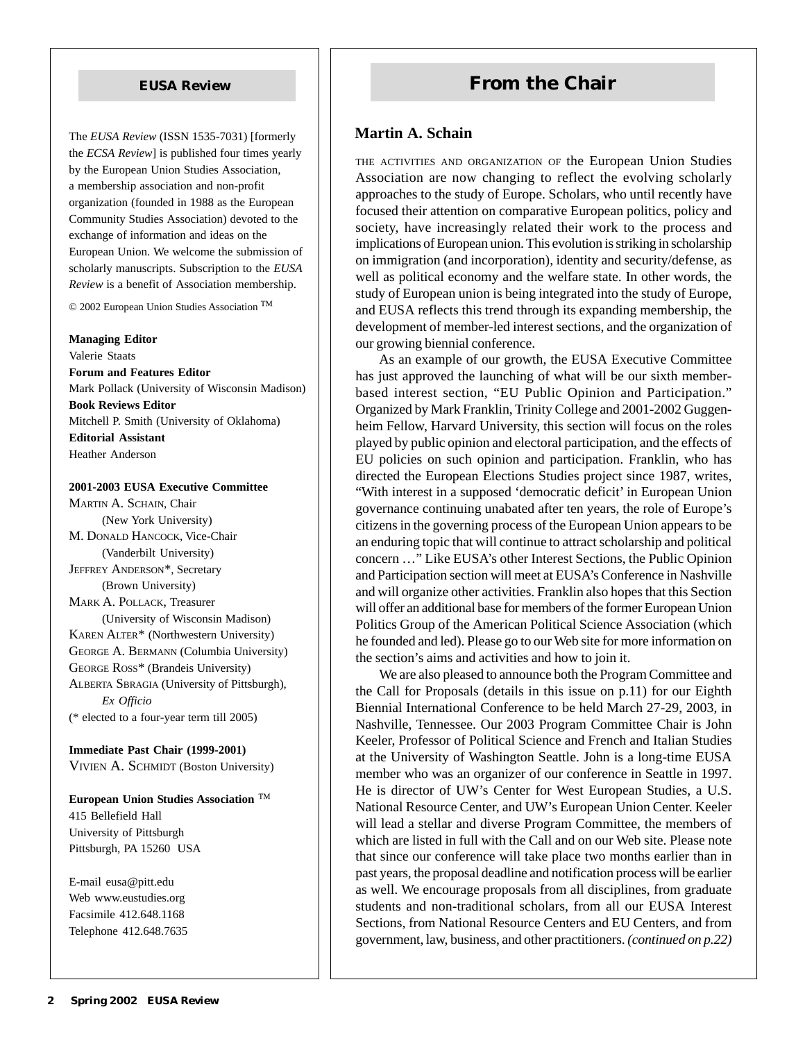The *EUSA Review* (ISSN 1535-7031) [formerly the *ECSA Review*] is published four times yearly by the European Union Studies Association, a membership association and non-profit organization (founded in 1988 as the European Community Studies Association) devoted to the exchange of information and ideas on the European Union. We welcome the submission of scholarly manuscripts. Subscription to the *EUSA Review* is a benefit of Association membership.

© 2002 European Union Studies Association

#### **Managing Editor**

Valerie Staats **Forum and Features Editor** Mark Pollack (University of Wisconsin Madison) **Book Reviews Editor** Mitchell P. Smith (University of Oklahoma) **Editorial Assistant** Heather Anderson

#### **2001-2003 EUSA Executive Committee**

MARTIN A. SCHAIN, Chair (New York University) M. DONALD HANCOCK, Vice-Chair (Vanderbilt University) JEFFREY ANDERSON\*, Secretary (Brown University) MARK A. POLLACK, Treasurer (University of Wisconsin Madison) KAREN ALTER\* (Northwestern University) GEORGE A. BERMANN (Columbia University) GEORGE ROSS\* (Brandeis University) ALBERTA SBRAGIA (University of Pittsburgh), *Ex Officio* (\* elected to a four-year term till 2005)

**Immediate Past Chair (1999-2001)** VIVIEN A. SCHMIDT (Boston University)

**European Union Studies Association**  415 Bellefield Hall University of Pittsburgh Pittsburgh, PA 15260 USA

E-mail eusa@pitt.edu Web www.eustudies.org Facsimile 412.648.1168 Telephone 412.648.7635

# **EUSA Review <b>From the Chair**

#### **Martin A. Schain**

THE ACTIVITIES AND ORGANIZATION OF the European Union Studies Association are now changing to reflect the evolving scholarly approaches to the study of Europe. Scholars, who until recently have focused their attention on comparative European politics, policy and society, have increasingly related their work to the process and implications of European union. This evolution is striking in scholarship on immigration (and incorporation), identity and security/defense, as well as political economy and the welfare state. In other words, the study of European union is being integrated into the study of Europe, and EUSA reflects this trend through its expanding membership, the development of member-led interest sections, and the organization of our growing biennial conference.

As an example of our growth, the EUSA Executive Committee has just approved the launching of what will be our sixth memberbased interest section, "EU Public Opinion and Participation." Organized by Mark Franklin, Trinity College and 2001-2002 Guggenheim Fellow, Harvard University, this section will focus on the roles played by public opinion and electoral participation, and the effects of EU policies on such opinion and participation. Franklin, who has directed the European Elections Studies project since 1987, writes, "With interest in a supposed 'democratic deficit' in European Union governance continuing unabated after ten years, the role of Europe's citizens in the governing process of the European Union appears to be an enduring topic that will continue to attract scholarship and political concern …" Like EUSA's other Interest Sections, the Public Opinion and Participation section will meet at EUSA's Conference in Nashville and will organize other activities. Franklin also hopes that this Section will offer an additional base for members of the former European Union Politics Group of the American Political Science Association (which he founded and led). Please go to our Web site for more information on the section's aims and activities and how to join it.

We are also pleased to announce both the Program Committee and the Call for Proposals (details in this issue on p.11) for our Eighth Biennial International Conference to be held March 27-29, 2003, in Nashville, Tennessee. Our 2003 Program Committee Chair is John Keeler, Professor of Political Science and French and Italian Studies at the University of Washington Seattle. John is a long-time EUSA member who was an organizer of our conference in Seattle in 1997. He is director of UW's Center for West European Studies, a U.S. National Resource Center, and UW's European Union Center. Keeler will lead a stellar and diverse Program Committee, the members of which are listed in full with the Call and on our Web site. Please note that since our conference will take place two months earlier than in past years, the proposal deadline and notification process will be earlier as well. We encourage proposals from all disciplines, from graduate students and non-traditional scholars, from all our EUSA Interest Sections, from National Resource Centers and EU Centers, and from government, law, business, and other practitioners. *(continued on p.22)*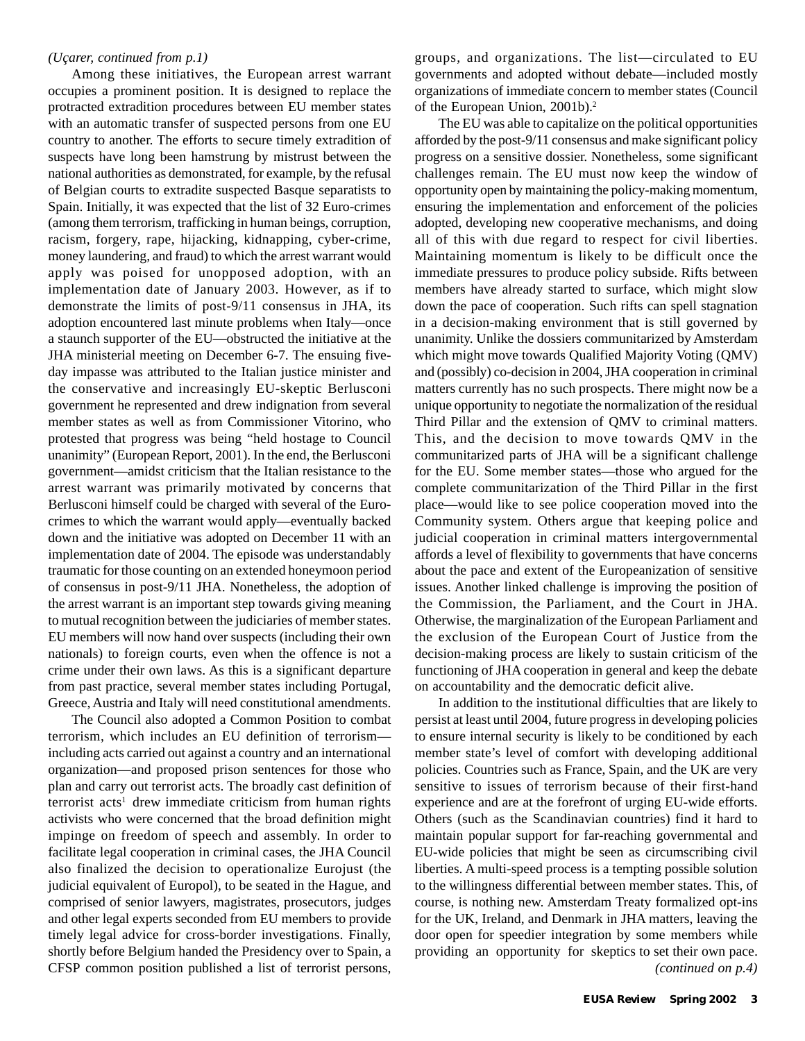#### *(Uçarer, continued from p.1)*

Among these initiatives, the European arrest warrant occupies a prominent position. It is designed to replace the protracted extradition procedures between EU member states with an automatic transfer of suspected persons from one EU country to another. The efforts to secure timely extradition of suspects have long been hamstrung by mistrust between the national authorities as demonstrated, for example, by the refusal of Belgian courts to extradite suspected Basque separatists to Spain. Initially, it was expected that the list of 32 Euro-crimes (among them terrorism, trafficking in human beings, corruption, racism, forgery, rape, hijacking, kidnapping, cyber-crime, money laundering, and fraud) to which the arrest warrant would apply was poised for unopposed adoption, with an implementation date of January 2003. However, as if to demonstrate the limits of post-9/11 consensus in JHA, its adoption encountered last minute problems when Italy—once a staunch supporter of the EU—obstructed the initiative at the JHA ministerial meeting on December 6-7. The ensuing fiveday impasse was attributed to the Italian justice minister and the conservative and increasingly EU-skeptic Berlusconi government he represented and drew indignation from several member states as well as from Commissioner Vitorino, who protested that progress was being "held hostage to Council unanimity" (European Report, 2001). In the end, the Berlusconi government—amidst criticism that the Italian resistance to the arrest warrant was primarily motivated by concerns that Berlusconi himself could be charged with several of the Eurocrimes to which the warrant would apply—eventually backed down and the initiative was adopted on December 11 with an implementation date of 2004. The episode was understandably traumatic for those counting on an extended honeymoon period of consensus in post-9/11 JHA. Nonetheless, the adoption of the arrest warrant is an important step towards giving meaning to mutual recognition between the judiciaries of member states. EU members will now hand over suspects (including their own nationals) to foreign courts, even when the offence is not a crime under their own laws. As this is a significant departure from past practice, several member states including Portugal, Greece, Austria and Italy will need constitutional amendments.

The Council also adopted a Common Position to combat terrorism, which includes an EU definition of terrorism including acts carried out against a country and an international organization—and proposed prison sentences for those who plan and carry out terrorist acts. The broadly cast definition of terrorist acts<sup>1</sup> drew immediate criticism from human rights activists who were concerned that the broad definition might impinge on freedom of speech and assembly. In order to facilitate legal cooperation in criminal cases, the JHA Council also finalized the decision to operationalize Eurojust (the judicial equivalent of Europol), to be seated in the Hague, and comprised of senior lawyers, magistrates, prosecutors, judges and other legal experts seconded from EU members to provide timely legal advice for cross-border investigations. Finally, shortly before Belgium handed the Presidency over to Spain, a CFSP common position published a list of terrorist persons,

groups, and organizations. The list—circulated to EU governments and adopted without debate—included mostly organizations of immediate concern to member states (Council of the European Union, 2001b).<sup>2</sup>

The EU was able to capitalize on the political opportunities afforded by the post-9/11 consensus and make significant policy progress on a sensitive dossier. Nonetheless, some significant challenges remain. The EU must now keep the window of opportunity open by maintaining the policy-making momentum, ensuring the implementation and enforcement of the policies adopted, developing new cooperative mechanisms, and doing all of this with due regard to respect for civil liberties. Maintaining momentum is likely to be difficult once the immediate pressures to produce policy subside. Rifts between members have already started to surface, which might slow down the pace of cooperation. Such rifts can spell stagnation in a decision-making environment that is still governed by unanimity. Unlike the dossiers communitarized by Amsterdam which might move towards Qualified Majority Voting (QMV) and (possibly) co-decision in 2004, JHA cooperation in criminal matters currently has no such prospects. There might now be a unique opportunity to negotiate the normalization of the residual Third Pillar and the extension of QMV to criminal matters. This, and the decision to move towards QMV in the communitarized parts of JHA will be a significant challenge for the EU. Some member states—those who argued for the complete communitarization of the Third Pillar in the first place—would like to see police cooperation moved into the Community system. Others argue that keeping police and judicial cooperation in criminal matters intergovernmental affords a level of flexibility to governments that have concerns about the pace and extent of the Europeanization of sensitive issues. Another linked challenge is improving the position of the Commission, the Parliament, and the Court in JHA. Otherwise, the marginalization of the European Parliament and the exclusion of the European Court of Justice from the decision-making process are likely to sustain criticism of the functioning of JHA cooperation in general and keep the debate on accountability and the democratic deficit alive.

In addition to the institutional difficulties that are likely to persist at least until 2004, future progress in developing policies to ensure internal security is likely to be conditioned by each member state's level of comfort with developing additional policies. Countries such as France, Spain, and the UK are very sensitive to issues of terrorism because of their first-hand experience and are at the forefront of urging EU-wide efforts. Others (such as the Scandinavian countries) find it hard to maintain popular support for far-reaching governmental and EU-wide policies that might be seen as circumscribing civil liberties. A multi-speed process is a tempting possible solution to the willingness differential between member states. This, of course, is nothing new. Amsterdam Treaty formalized opt-ins for the UK, Ireland, and Denmark in JHA matters, leaving the door open for speedier integration by some members while providing an opportunity for skeptics to set their own pace.  *(continued on p.4)*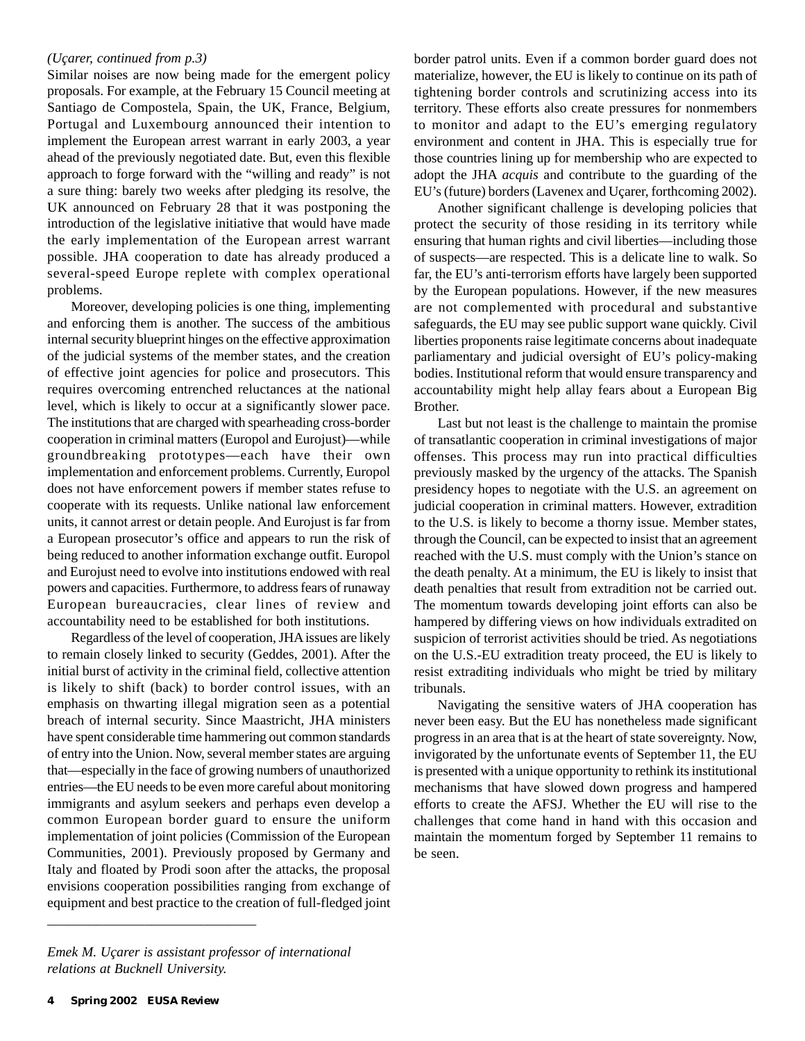#### *(Uçarer, continued from p.3)*

Similar noises are now being made for the emergent policy proposals. For example, at the February 15 Council meeting at Santiago de Compostela, Spain, the UK, France, Belgium, Portugal and Luxembourg announced their intention to implement the European arrest warrant in early 2003, a year ahead of the previously negotiated date. But, even this flexible approach to forge forward with the "willing and ready" is not a sure thing: barely two weeks after pledging its resolve, the UK announced on February 28 that it was postponing the introduction of the legislative initiative that would have made the early implementation of the European arrest warrant possible. JHA cooperation to date has already produced a several-speed Europe replete with complex operational problems.

Moreover, developing policies is one thing, implementing and enforcing them is another. The success of the ambitious internal security blueprint hinges on the effective approximation of the judicial systems of the member states, and the creation of effective joint agencies for police and prosecutors. This requires overcoming entrenched reluctances at the national level, which is likely to occur at a significantly slower pace. The institutions that are charged with spearheading cross-border cooperation in criminal matters (Europol and Eurojust)—while groundbreaking prototypes—each have their own implementation and enforcement problems. Currently, Europol does not have enforcement powers if member states refuse to cooperate with its requests. Unlike national law enforcement units, it cannot arrest or detain people. And Eurojust is far from a European prosecutor's office and appears to run the risk of being reduced to another information exchange outfit. Europol and Eurojust need to evolve into institutions endowed with real powers and capacities. Furthermore, to address fears of runaway European bureaucracies, clear lines of review and accountability need to be established for both institutions.

Regardless of the level of cooperation, JHA issues are likely to remain closely linked to security (Geddes, 2001). After the initial burst of activity in the criminal field, collective attention is likely to shift (back) to border control issues, with an emphasis on thwarting illegal migration seen as a potential breach of internal security. Since Maastricht, JHA ministers have spent considerable time hammering out common standards of entry into the Union. Now, several member states are arguing that—especially in the face of growing numbers of unauthorized entries—the EU needs to be even more careful about monitoring immigrants and asylum seekers and perhaps even develop a common European border guard to ensure the uniform implementation of joint policies (Commission of the European Communities, 2001). Previously proposed by Germany and Italy and floated by Prodi soon after the attacks, the proposal envisions cooperation possibilities ranging from exchange of equipment and best practice to the creation of full-fledged joint

Another significant challenge is developing policies that protect the security of those residing in its territory while ensuring that human rights and civil liberties—including those of suspects—are respected. This is a delicate line to walk. So far, the EU's anti-terrorism efforts have largely been supported by the European populations. However, if the new measures are not complemented with procedural and substantive safeguards, the EU may see public support wane quickly. Civil liberties proponents raise legitimate concerns about inadequate parliamentary and judicial oversight of EU's policy-making bodies. Institutional reform that would ensure transparency and accountability might help allay fears about a European Big Brother.

Last but not least is the challenge to maintain the promise of transatlantic cooperation in criminal investigations of major offenses. This process may run into practical difficulties previously masked by the urgency of the attacks. The Spanish presidency hopes to negotiate with the U.S. an agreement on judicial cooperation in criminal matters. However, extradition to the U.S. is likely to become a thorny issue. Member states, through the Council, can be expected to insist that an agreement reached with the U.S. must comply with the Union's stance on the death penalty. At a minimum, the EU is likely to insist that death penalties that result from extradition not be carried out. The momentum towards developing joint efforts can also be hampered by differing views on how individuals extradited on suspicion of terrorist activities should be tried. As negotiations on the U.S.-EU extradition treaty proceed, the EU is likely to resist extraditing individuals who might be tried by military tribunals.

Navigating the sensitive waters of JHA cooperation has never been easy. But the EU has nonetheless made significant progress in an area that is at the heart of state sovereignty. Now, invigorated by the unfortunate events of September 11, the EU is presented with a unique opportunity to rethink its institutional mechanisms that have slowed down progress and hampered efforts to create the AFSJ. Whether the EU will rise to the challenges that come hand in hand with this occasion and maintain the momentum forged by September 11 remains to be seen.

\_\_\_\_\_\_\_\_\_\_\_\_\_\_\_\_\_\_\_\_\_\_\_\_\_\_\_\_\_\_

border patrol units. Even if a common border guard does not materialize, however, the EU is likely to continue on its path of tightening border controls and scrutinizing access into its territory. These efforts also create pressures for nonmembers to monitor and adapt to the EU's emerging regulatory environment and content in JHA. This is especially true for those countries lining up for membership who are expected to adopt the JHA *acquis* and contribute to the guarding of the EU's (future) borders (Lavenex and Uçarer, forthcoming 2002).

*Emek M. Uçarer is assistant professor of international relations at Bucknell University.*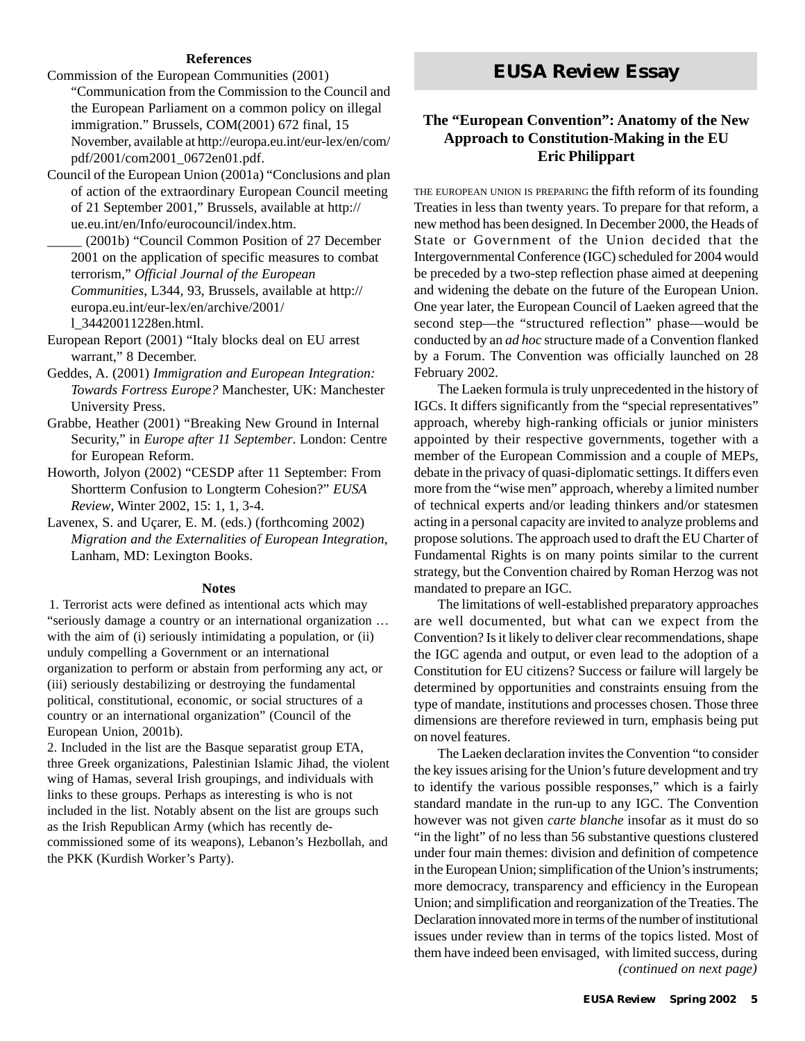#### **References**

- Commission of the European Communities (2001) "Communication from the Commission to the Council and the European Parliament on a common policy on illegal immigration." Brussels, COM(2001) 672 final, 15 November, available at http://europa.eu.int/eur-lex/en/com/ pdf/2001/com2001\_0672en01.pdf.
- Council of the European Union (2001a) "Conclusions and plan of action of the extraordinary European Council meeting of 21 September 2001," Brussels, available at http:// ue.eu.int/en/Info/eurocouncil/index.htm.
- \_\_\_\_\_ (2001b) "Council Common Position of 27 December 2001 on the application of specific measures to combat terrorism," *Official Journal of the European Communities*, L344, 93, Brussels, available at http:// europa.eu.int/eur-lex/en/archive/2001/ l\_34420011228en.html.
- European Report (2001) "Italy blocks deal on EU arrest warrant," 8 December.
- Geddes, A. (2001) *Immigration and European Integration: Towards Fortress Europe?* Manchester, UK: Manchester University Press.
- Grabbe, Heather (2001) "Breaking New Ground in Internal Security," in *Europe after 11 September*. London: Centre for European Reform.
- Howorth, Jolyon (2002) "CESDP after 11 September: From Shortterm Confusion to Longterm Cohesion?" *EUSA Review*, Winter 2002, 15: 1, 1, 3-4.
- Lavenex, S. and Uçarer, E. M. (eds.) (forthcoming 2002) *Migration and the Externalities of European Integration*, Lanham, MD: Lexington Books.

#### **Notes**

1. Terrorist acts were defined as intentional acts which may "seriously damage a country or an international organization … with the aim of (i) seriously intimidating a population, or (ii) unduly compelling a Government or an international organization to perform or abstain from performing any act, or (iii) seriously destabilizing or destroying the fundamental political, constitutional, economic, or social structures of a country or an international organization" (Council of the European Union, 2001b).

2. Included in the list are the Basque separatist group ETA, three Greek organizations, Palestinian Islamic Jihad, the violent wing of Hamas, several Irish groupings, and individuals with links to these groups. Perhaps as interesting is who is not included in the list. Notably absent on the list are groups such as the Irish Republican Army (which has recently decommissioned some of its weapons), Lebanon's Hezbollah, and the PKK (Kurdish Worker's Party).

# *EUSA Review* **Essay**

### **The "European Convention": Anatomy of the New Approach to Constitution-Making in the EU Eric Philippart**

THE EUROPEAN UNION IS PREPARING the fifth reform of its founding Treaties in less than twenty years. To prepare for that reform, a new method has been designed. In December 2000, the Heads of State or Government of the Union decided that the Intergovernmental Conference (IGC) scheduled for 2004 would be preceded by a two-step reflection phase aimed at deepening and widening the debate on the future of the European Union. One year later, the European Council of Laeken agreed that the second step—the "structured reflection" phase—would be conducted by an *ad hoc* structure made of a Convention flanked by a Forum. The Convention was officially launched on 28 February 2002.

The Laeken formula is truly unprecedented in the history of IGCs. It differs significantly from the "special representatives" approach, whereby high-ranking officials or junior ministers appointed by their respective governments, together with a member of the European Commission and a couple of MEPs, debate in the privacy of quasi-diplomatic settings. It differs even more from the "wise men" approach, whereby a limited number of technical experts and/or leading thinkers and/or statesmen acting in a personal capacity are invited to analyze problems and propose solutions. The approach used to draft the EU Charter of Fundamental Rights is on many points similar to the current strategy, but the Convention chaired by Roman Herzog was not mandated to prepare an IGC.

The limitations of well-established preparatory approaches are well documented, but what can we expect from the Convention? Is it likely to deliver clear recommendations, shape the IGC agenda and output, or even lead to the adoption of a Constitution for EU citizens? Success or failure will largely be determined by opportunities and constraints ensuing from the type of mandate, institutions and processes chosen. Those three dimensions are therefore reviewed in turn, emphasis being put on novel features.

The Laeken declaration invites the Convention "to consider the key issues arising for the Union's future development and try to identify the various possible responses," which is a fairly standard mandate in the run-up to any IGC. The Convention however was not given *carte blanche* insofar as it must do so "in the light" of no less than 56 substantive questions clustered under four main themes: division and definition of competence in the European Union; simplification of the Union's instruments; more democracy, transparency and efficiency in the European Union; and simplification and reorganization of the Treaties. The Declaration innovated more in terms of the number of institutional issues under review than in terms of the topics listed. Most of them have indeed been envisaged, with limited success, during  *(continued on next page)*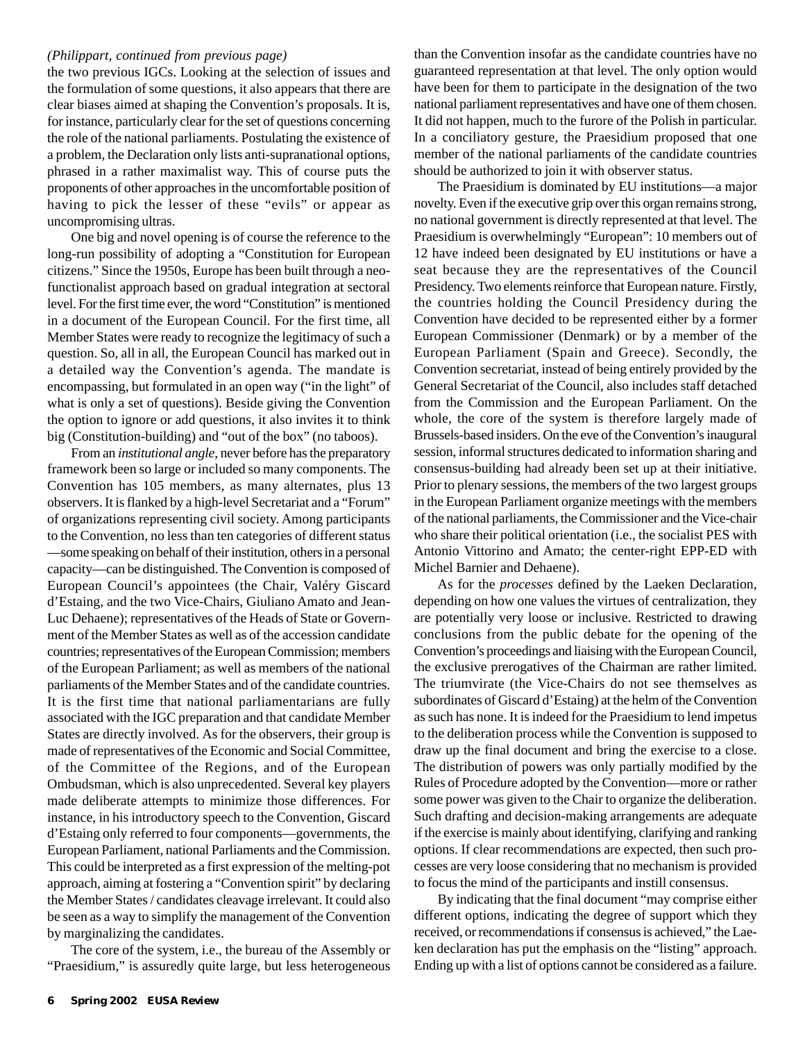#### *(Philippart, continued from previous page)*

the two previous IGCs. Looking at the selection of issues and the formulation of some questions, it also appears that there are clear biases aimed at shaping the Convention's proposals. It is, for instance, particularly clear for the set of questions concerning the role of the national parliaments. Postulating the existence of a problem, the Declaration only lists anti-supranational options, phrased in a rather maximalist way. This of course puts the proponents of other approaches in the uncomfortable position of having to pick the lesser of these "evils" or appear as uncompromising ultras.

One big and novel opening is of course the reference to the long-run possibility of adopting a "Constitution for European citizens." Since the 1950s, Europe has been built through a neofunctionalist approach based on gradual integration at sectoral level. For the first time ever, the word "Constitution" is mentioned in a document of the European Council. For the first time, all Member States were ready to recognize the legitimacy of such a question. So, all in all, the European Council has marked out in a detailed way the Convention's agenda. The mandate is encompassing, but formulated in an open way ("in the light" of what is only a set of questions). Beside giving the Convention the option to ignore or add questions, it also invites it to think big (Constitution-building) and "out of the box" (no taboos).

From an *institutional angle*, never before has the preparatory framework been so large or included so many components. The Convention has 105 members, as many alternates, plus 13 observers. It is flanked by a high-level Secretariat and a "Forum" of organizations representing civil society. Among participants to the Convention, no less than ten categories of different status —some speaking on behalf of their institution, others in a personal capacity—can be distinguished. The Convention is composed of European Council's appointees (the Chair, Valéry Giscard d'Estaing, and the two Vice-Chairs, Giuliano Amato and Jean-Luc Dehaene); representatives of the Heads of State or Government of the Member States as well as of the accession candidate countries; representatives of the European Commission; members of the European Parliament; as well as members of the national parliaments of the Member States and of the candidate countries. It is the first time that national parliamentarians are fully associated with the IGC preparation and that candidate Member States are directly involved. As for the observers, their group is made of representatives of the Economic and Social Committee, of the Committee of the Regions, and of the European Ombudsman, which is also unprecedented. Several key players made deliberate attempts to minimize those differences. For instance, in his introductory speech to the Convention, Giscard d'Estaing only referred to four components—governments, the European Parliament, national Parliaments and the Commission. This could be interpreted as a first expression of the melting-pot approach, aiming at fostering a "Convention spirit" by declaring the Member States / candidates cleavage irrelevant. It could also be seen as a way to simplify the management of the Convention by marginalizing the candidates.

The core of the system, i.e., the bureau of the Assembly or "Praesidium," is assuredly quite large, but less heterogeneous than the Convention insofar as the candidate countries have no guaranteed representation at that level. The only option would have been for them to participate in the designation of the two national parliament representatives and have one of them chosen. It did not happen, much to the furore of the Polish in particular. In a conciliatory gesture, the Praesidium proposed that one member of the national parliaments of the candidate countries should be authorized to join it with observer status.

The Praesidium is dominated by EU institutions—a major novelty. Even if the executive grip over this organ remains strong, no national government is directly represented at that level. The Praesidium is overwhelmingly "European": 10 members out of 12 have indeed been designated by EU institutions or have a seat because they are the representatives of the Council Presidency. Two elements reinforce that European nature. Firstly, the countries holding the Council Presidency during the Convention have decided to be represented either by a former European Commissioner (Denmark) or by a member of the European Parliament (Spain and Greece). Secondly, the Convention secretariat, instead of being entirely provided by the General Secretariat of the Council, also includes staff detached from the Commission and the European Parliament. On the whole, the core of the system is therefore largely made of Brussels-based insiders. On the eve of the Convention's inaugural session, informal structures dedicated to information sharing and consensus-building had already been set up at their initiative. Prior to plenary sessions, the members of the two largest groups in the European Parliament organize meetings with the members of the national parliaments, the Commissioner and the Vice-chair who share their political orientation (i.e., the socialist PES with Antonio Vittorino and Amato; the center-right EPP-ED with Michel Barnier and Dehaene).

As for the *processes* defined by the Laeken Declaration, depending on how one values the virtues of centralization, they are potentially very loose or inclusive. Restricted to drawing conclusions from the public debate for the opening of the Convention's proceedings and liaising with the European Council, the exclusive prerogatives of the Chairman are rather limited. The triumvirate (the Vice-Chairs do not see themselves as subordinates of Giscard d'Estaing) at the helm of the Convention as such has none. It is indeed for the Praesidium to lend impetus to the deliberation process while the Convention is supposed to draw up the final document and bring the exercise to a close. The distribution of powers was only partially modified by the Rules of Procedure adopted by the Convention—more or rather some power was given to the Chair to organize the deliberation. Such drafting and decision-making arrangements are adequate if the exercise is mainly about identifying, clarifying and ranking options. If clear recommendations are expected, then such processes are very loose considering that no mechanism is provided to focus the mind of the participants and instill consensus.

By indicating that the final document "may comprise either different options, indicating the degree of support which they received, or recommendations if consensus is achieved," the Laeken declaration has put the emphasis on the "listing" approach. Ending up with a list of options cannot be considered as a failure.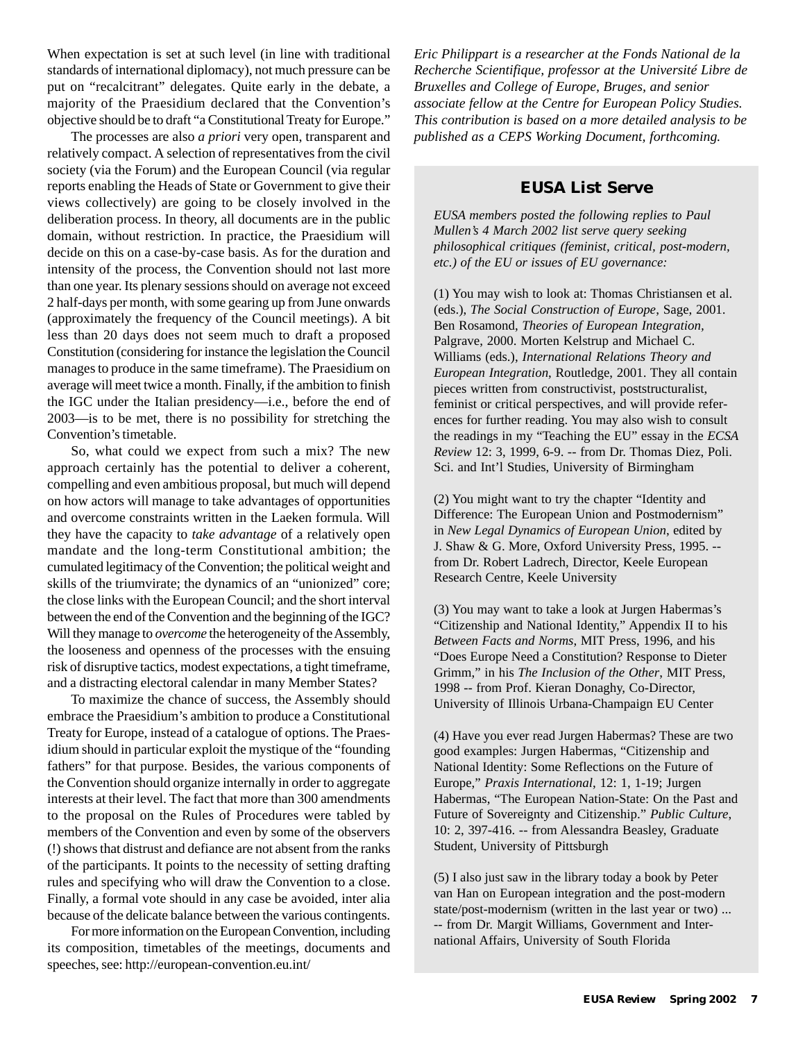When expectation is set at such level (in line with traditional standards of international diplomacy), not much pressure can be put on "recalcitrant" delegates. Quite early in the debate, a majority of the Praesidium declared that the Convention's objective should be to draft "a Constitutional Treaty for Europe."

The processes are also *a priori* very open, transparent and relatively compact. A selection of representatives from the civil society (via the Forum) and the European Council (via regular reports enabling the Heads of State or Government to give their views collectively) are going to be closely involved in the deliberation process. In theory, all documents are in the public domain, without restriction. In practice, the Praesidium will decide on this on a case-by-case basis. As for the duration and intensity of the process, the Convention should not last more than one year. Its plenary sessions should on average not exceed 2 half-days per month, with some gearing up from June onwards (approximately the frequency of the Council meetings). A bit less than 20 days does not seem much to draft a proposed Constitution (considering for instance the legislation the Council manages to produce in the same timeframe). The Praesidium on average will meet twice a month. Finally, if the ambition to finish the IGC under the Italian presidency—i.e., before the end of 2003—is to be met, there is no possibility for stretching the Convention's timetable.

So, what could we expect from such a mix? The new approach certainly has the potential to deliver a coherent, compelling and even ambitious proposal, but much will depend on how actors will manage to take advantages of opportunities and overcome constraints written in the Laeken formula. Will they have the capacity to *take advantage* of a relatively open mandate and the long-term Constitutional ambition; the cumulated legitimacy of the Convention; the political weight and skills of the triumvirate; the dynamics of an "unionized" core; the close links with the European Council; and the short interval between the end of the Convention and the beginning of the IGC? Will they manage to *overcome* the heterogeneity of the Assembly, the looseness and openness of the processes with the ensuing risk of disruptive tactics, modest expectations, a tight timeframe, and a distracting electoral calendar in many Member States?

To maximize the chance of success, the Assembly should embrace the Praesidium's ambition to produce a Constitutional Treaty for Europe, instead of a catalogue of options. The Praesidium should in particular exploit the mystique of the "founding fathers" for that purpose. Besides, the various components of the Convention should organize internally in order to aggregate interests at their level. The fact that more than 300 amendments to the proposal on the Rules of Procedures were tabled by members of the Convention and even by some of the observers (!) shows that distrust and defiance are not absent from the ranks of the participants. It points to the necessity of setting drafting rules and specifying who will draw the Convention to a close. Finally, a formal vote should in any case be avoided, inter alia because of the delicate balance between the various contingents.

For more information on the European Convention, including its composition, timetables of the meetings, documents and speeches, see: http://european-convention.eu.int/

*Eric Philippart is a researcher at the Fonds National de la Recherche Scientifique, professor at the Université Libre de Bruxelles and College of Europe, Bruges, and senior associate fellow at the Centre for European Policy Studies. This contribution is based on a more detailed analysis to be published as a CEPS Working Document, forthcoming.*

### **EUSA List Serve**

*EUSA members posted the following replies to Paul Mullen's 4 March 2002 list serve query seeking philosophical critiques (feminist, critical, post-modern, etc.) of the EU or issues of EU governance:*

(1) You may wish to look at: Thomas Christiansen et al. (eds.), *The Social Construction of Europe*, Sage, 2001. Ben Rosamond, *Theories of European Integration,* Palgrave, 2000. Morten Kelstrup and Michael C. Williams (eds.), *International Relations Theory and European Integration*, Routledge, 2001. They all contain pieces written from constructivist, poststructuralist, feminist or critical perspectives, and will provide references for further reading. You may also wish to consult the readings in my "Teaching the EU" essay in the *ECSA Review* 12: 3, 1999, 6-9. -- from Dr. Thomas Diez, Poli. Sci. and Int'l Studies, University of Birmingham

(2) You might want to try the chapter "Identity and Difference: The European Union and Postmodernism" in *New Legal Dynamics of European Union*, edited by J. Shaw & G. More, Oxford University Press, 1995. - from Dr. Robert Ladrech, Director, Keele European Research Centre, Keele University

(3) You may want to take a look at Jurgen Habermas's "Citizenship and National Identity," Appendix II to his *Between Facts and Norms*, MIT Press, 1996, and his "Does Europe Need a Constitution? Response to Dieter Grimm," in his *The Inclusion of the Other*, MIT Press, 1998 -- from Prof. Kieran Donaghy, Co-Director, University of Illinois Urbana-Champaign EU Center

(4) Have you ever read Jurgen Habermas? These are two good examples: Jurgen Habermas, "Citizenship and National Identity: Some Reflections on the Future of Europe," *Praxis International*, 12: 1, 1-19; Jurgen Habermas, "The European Nation-State: On the Past and Future of Sovereignty and Citizenship." *Public Culture*, 10: 2, 397-416. -- from Alessandra Beasley, Graduate Student, University of Pittsburgh

(5) I also just saw in the library today a book by Peter van Han on European integration and the post-modern state/post-modernism (written in the last year or two) ... -- from Dr. Margit Williams, Government and International Affairs, University of South Florida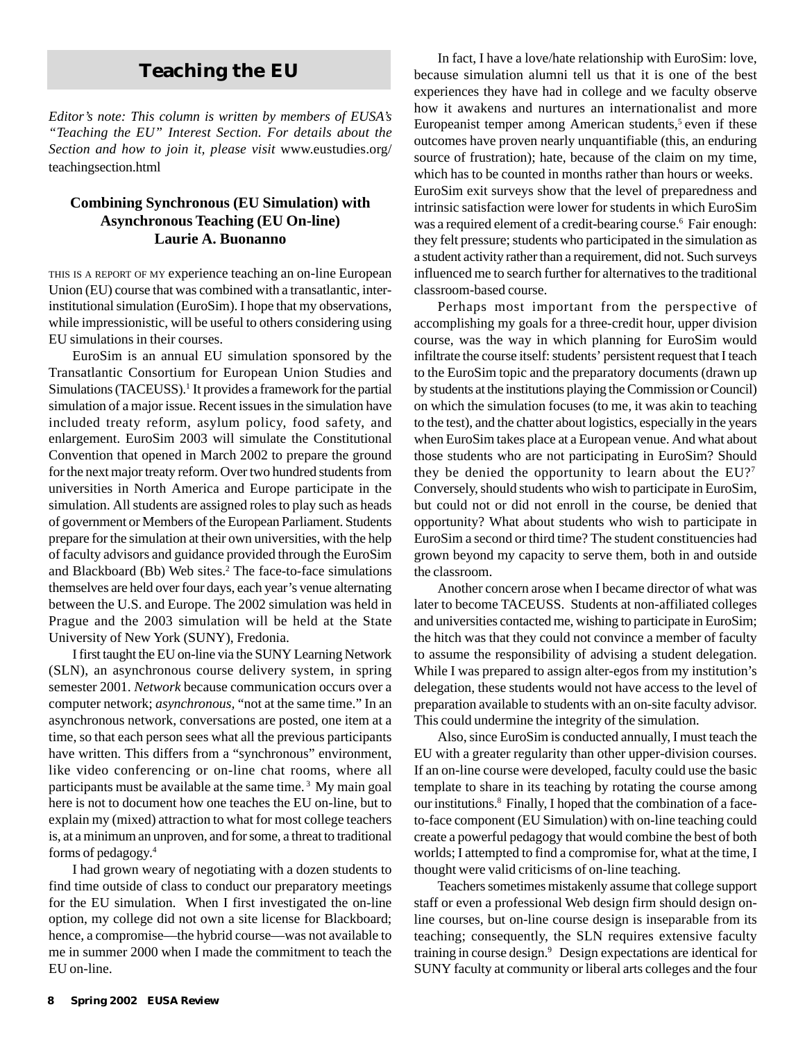# **Teaching the EU**

*Editor's note: This column is written by members of EUSA's "Teaching the EU" Interest Section. For details about the Section and how to join it, please visit* www.eustudies.org/ teachingsection.html

#### **Combining Synchronous (EU Simulation) with Asynchronous Teaching (EU On-line) Laurie A. Buonanno**

THIS IS <sup>A</sup> REPORT OF MY experience teaching an on-line European Union (EU) course that was combined with a transatlantic, interinstitutional simulation (EuroSim). I hope that my observations, while impressionistic, will be useful to others considering using EU simulations in their courses.

EuroSim is an annual EU simulation sponsored by the Transatlantic Consortium for European Union Studies and Simulations (TACEUSS).<sup>1</sup> It provides a framework for the partial simulation of a major issue. Recent issues in the simulation have included treaty reform, asylum policy, food safety, and enlargement. EuroSim 2003 will simulate the Constitutional Convention that opened in March 2002 to prepare the ground for the next major treaty reform. Over two hundred students from universities in North America and Europe participate in the simulation. All students are assigned roles to play such as heads of government or Members of the European Parliament. Students prepare for the simulation at their own universities, with the help of faculty advisors and guidance provided through the EuroSim and Blackboard (Bb) Web sites.<sup>2</sup> The face-to-face simulations themselves are held over four days, each year's venue alternating between the U.S. and Europe. The 2002 simulation was held in Prague and the 2003 simulation will be held at the State University of New York (SUNY), Fredonia.

I first taught the EU on-line via the SUNY Learning Network (SLN), an asynchronous course delivery system, in spring semester 2001. *Network* because communication occurs over a computer network; *asynchronous,* "not at the same time." In an asynchronous network, conversations are posted, one item at a time, so that each person sees what all the previous participants have written. This differs from a "synchronous" environment, like video conferencing or on-line chat rooms, where all participants must be available at the same time. 3 My main goal here is not to document how one teaches the EU on-line, but to explain my (mixed) attraction to what for most college teachers is, at a minimum an unproven, and for some, a threat to traditional forms of pedagogy.4

I had grown weary of negotiating with a dozen students to find time outside of class to conduct our preparatory meetings for the EU simulation. When I first investigated the on-line option, my college did not own a site license for Blackboard; hence, a compromise—the hybrid course—was not available to me in summer 2000 when I made the commitment to teach the EU on-line.

In fact, I have a love/hate relationship with EuroSim: love, because simulation alumni tell us that it is one of the best experiences they have had in college and we faculty observe how it awakens and nurtures an internationalist and more Europeanist temper among American students, $5$  even if these outcomes have proven nearly unquantifiable (this, an enduring source of frustration); hate, because of the claim on my time, which has to be counted in months rather than hours or weeks. EuroSim exit surveys show that the level of preparedness and intrinsic satisfaction were lower for students in which EuroSim was a required element of a credit-bearing course.<sup>6</sup> Fair enough: they felt pressure; students who participated in the simulation as a student activity rather than a requirement, did not. Such surveys influenced me to search further for alternatives to the traditional classroom-based course.

Perhaps most important from the perspective of accomplishing my goals for a three-credit hour, upper division course, was the way in which planning for EuroSim would infiltrate the course itself: students' persistent request that I teach to the EuroSim topic and the preparatory documents (drawn up by students at the institutions playing the Commission or Council) on which the simulation focuses (to me, it was akin to teaching to the test), and the chatter about logistics, especially in the years when EuroSim takes place at a European venue. And what about those students who are not participating in EuroSim? Should they be denied the opportunity to learn about the EU?7 Conversely, should students who wish to participate in EuroSim, but could not or did not enroll in the course, be denied that opportunity? What about students who wish to participate in EuroSim a second or third time? The student constituencies had grown beyond my capacity to serve them, both in and outside the classroom.

Another concern arose when I became director of what was later to become TACEUSS. Students at non-affiliated colleges and universities contacted me, wishing to participate in EuroSim; the hitch was that they could not convince a member of faculty to assume the responsibility of advising a student delegation. While I was prepared to assign alter-egos from my institution's delegation, these students would not have access to the level of preparation available to students with an on-site faculty advisor. This could undermine the integrity of the simulation.

Also, since EuroSim is conducted annually, I must teach the EU with a greater regularity than other upper-division courses. If an on-line course were developed, faculty could use the basic template to share in its teaching by rotating the course among our institutions.8 Finally, I hoped that the combination of a faceto-face component (EU Simulation) with on-line teaching could create a powerful pedagogy that would combine the best of both worlds; I attempted to find a compromise for, what at the time, I thought were valid criticisms of on-line teaching.

Teachers sometimes mistakenly assume that college support staff or even a professional Web design firm should design online courses, but on-line course design is inseparable from its teaching; consequently, the SLN requires extensive faculty training in course design.9 Design expectations are identical for SUNY faculty at community or liberal arts colleges and the four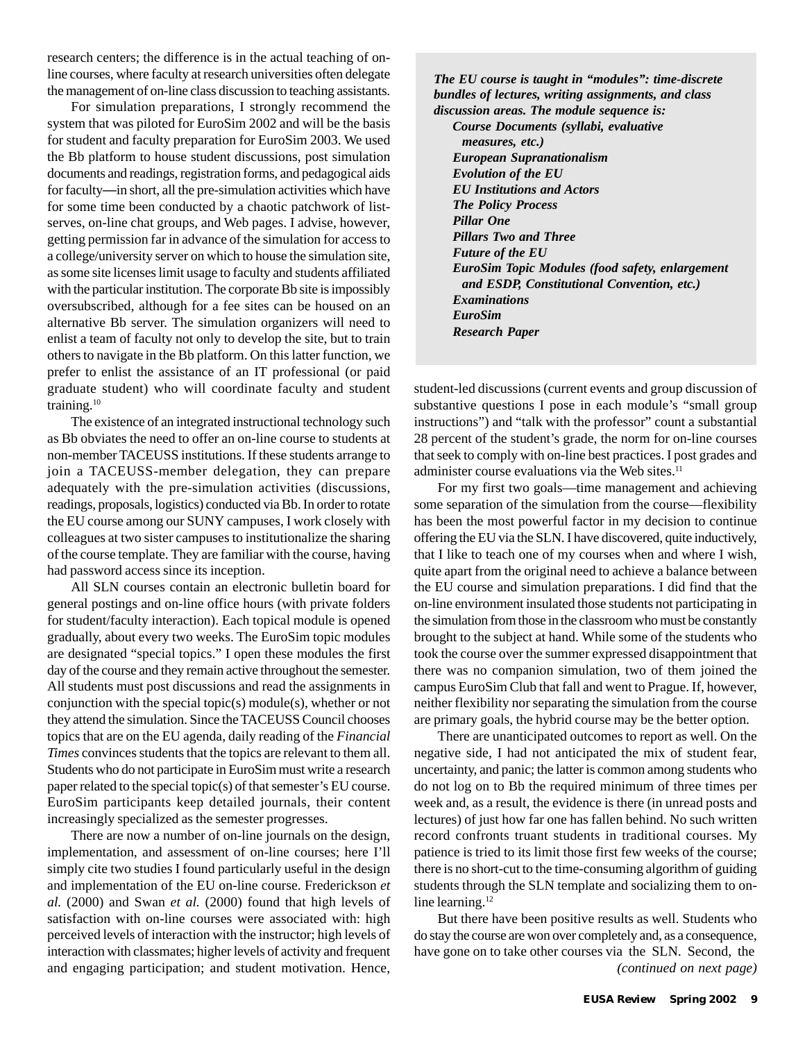research centers; the difference is in the actual teaching of online courses, where faculty at research universities often delegate the management of on-line class discussion to teaching assistants.

For simulation preparations, I strongly recommend the system that was piloted for EuroSim 2002 and will be the basis for student and faculty preparation for EuroSim 2003. We used the Bb platform to house student discussions, post simulation documents and readings, registration forms, and pedagogical aids for faculty—in short, all the pre-simulation activities which have for some time been conducted by a chaotic patchwork of listserves, on-line chat groups, and Web pages. I advise, however, getting permission far in advance of the simulation for access to a college/university server on which to house the simulation site, as some site licenses limit usage to faculty and students affiliated with the particular institution. The corporate Bb site is impossibly oversubscribed, although for a fee sites can be housed on an alternative Bb server. The simulation organizers will need to enlist a team of faculty not only to develop the site, but to train others to navigate in the Bb platform. On this latter function, we prefer to enlist the assistance of an IT professional (or paid graduate student) who will coordinate faculty and student training.10

The existence of an integrated instructional technology such as Bb obviates the need to offer an on-line course to students at non-member TACEUSS institutions. If these students arrange to join a TACEUSS-member delegation, they can prepare adequately with the pre-simulation activities (discussions, readings, proposals, logistics) conducted via Bb. In order to rotate the EU course among our SUNY campuses, I work closely with colleagues at two sister campuses to institutionalize the sharing of the course template. They are familiar with the course, having had password access since its inception.

All SLN courses contain an electronic bulletin board for general postings and on-line office hours (with private folders for student/faculty interaction). Each topical module is opened gradually, about every two weeks. The EuroSim topic modules are designated "special topics." I open these modules the first day of the course and they remain active throughout the semester. All students must post discussions and read the assignments in conjunction with the special topic(s) module(s), whether or not they attend the simulation. Since the TACEUSS Council chooses topics that are on the EU agenda, daily reading of the *Financial Times* convinces students that the topics are relevant to them all. Students who do not participate in EuroSim must write a research paper related to the special topic(s) of that semester's EU course. EuroSim participants keep detailed journals, their content increasingly specialized as the semester progresses.

There are now a number of on-line journals on the design, implementation, and assessment of on-line courses; here I'll simply cite two studies I found particularly useful in the design and implementation of the EU on-line course. Frederickson *et al.* (2000) and Swan *et al.* (2000) found that high levels of satisfaction with on-line courses were associated with: high perceived levels of interaction with the instructor; high levels of interaction with classmates; higher levels of activity and frequent and engaging participation; and student motivation. Hence,

*The EU course is taught in "modules": time-discrete bundles of lectures, writing assignments, and class discussion areas. The module sequence is:*

*Course Documents (syllabi, evaluative measures, etc.) European Supranationalism Evolution of the EU EU Institutions and Actors The Policy Process Pillar One Pillars Two and Three Future of the EU EuroSim Topic Modules (food safety, enlargement and ESDP, Constitutional Convention, etc.) Examinations EuroSim Research Paper*

student-led discussions (current events and group discussion of substantive questions I pose in each module's "small group instructions") and "talk with the professor" count a substantial 28 percent of the student's grade, the norm for on-line courses that seek to comply with on-line best practices. I post grades and administer course evaluations via the Web sites.<sup>11</sup>

For my first two goals—time management and achieving some separation of the simulation from the course—flexibility has been the most powerful factor in my decision to continue offering the EU via the SLN. I have discovered, quite inductively, that I like to teach one of my courses when and where I wish, quite apart from the original need to achieve a balance between the EU course and simulation preparations. I did find that the on-line environment insulated those students not participating in the simulation from those in the classroom who must be constantly brought to the subject at hand. While some of the students who took the course over the summer expressed disappointment that there was no companion simulation, two of them joined the campus EuroSim Club that fall and went to Prague. If, however, neither flexibility nor separating the simulation from the course are primary goals, the hybrid course may be the better option.

There are unanticipated outcomes to report as well. On the negative side, I had not anticipated the mix of student fear, uncertainty, and panic; the latter is common among students who do not log on to Bb the required minimum of three times per week and, as a result, the evidence is there (in unread posts and lectures) of just how far one has fallen behind. No such written record confronts truant students in traditional courses. My patience is tried to its limit those first few weeks of the course; there is no short-cut to the time-consuming algorithm of guiding students through the SLN template and socializing them to online learning.<sup>12</sup>

But there have been positive results as well. Students who do stay the course are won over completely and, as a consequence, have gone on to take other courses via the SLN. Second, the *(continued on next page)*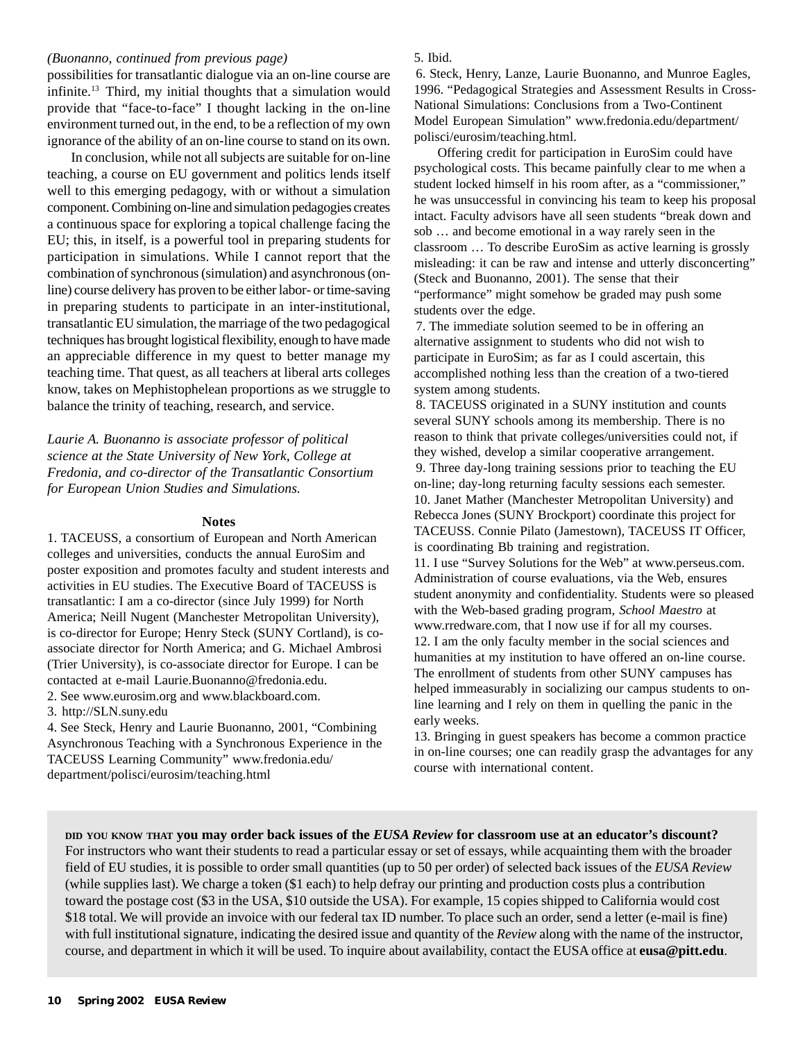#### *(Buonanno, continued from previous page)*

possibilities for transatlantic dialogue via an on-line course are infinite.13 Third, my initial thoughts that a simulation would provide that "face-to-face" I thought lacking in the on-line environment turned out, in the end, to be a reflection of my own ignorance of the ability of an on-line course to stand on its own.

In conclusion, while not all subjects are suitable for on-line teaching, a course on EU government and politics lends itself well to this emerging pedagogy, with or without a simulation component. Combining on-line and simulation pedagogies creates a continuous space for exploring a topical challenge facing the EU; this, in itself, is a powerful tool in preparing students for participation in simulations. While I cannot report that the combination of synchronous (simulation) and asynchronous (online) course delivery has proven to be either labor- or time-saving in preparing students to participate in an inter-institutional, transatlantic EU simulation, the marriage of the two pedagogical techniques has brought logistical flexibility, enough to have made an appreciable difference in my quest to better manage my teaching time. That quest, as all teachers at liberal arts colleges know, takes on Mephistophelean proportions as we struggle to balance the trinity of teaching, research, and service.

*Laurie A. Buonanno is associate professor of political science at the State University of New York, College at Fredonia, and co-director of the Transatlantic Consortium for European Union Studies and Simulations.*

#### **Notes**

1. TACEUSS, a consortium of European and North American colleges and universities, conducts the annual EuroSim and poster exposition and promotes faculty and student interests and activities in EU studies. The Executive Board of TACEUSS is transatlantic: I am a co-director (since July 1999) for North America; Neill Nugent (Manchester Metropolitan University), is co-director for Europe; Henry Steck (SUNY Cortland), is coassociate director for North America; and G. Michael Ambrosi (Trier University), is co-associate director for Europe. I can be contacted at e-mail Laurie.Buonanno@fredonia.edu.

2. See www.eurosim.org and www.blackboard.com.

3. http://SLN.suny.edu

4. See Steck, Henry and Laurie Buonanno, 2001, "Combining Asynchronous Teaching with a Synchronous Experience in the TACEUSS Learning Community" www.fredonia.edu/ department/polisci/eurosim/teaching.html

#### 5. Ibid.

6. Steck, Henry, Lanze, Laurie Buonanno, and Munroe Eagles, 1996. "Pedagogical Strategies and Assessment Results in Cross-National Simulations: Conclusions from a Two-Continent Model European Simulation" www.fredonia.edu/department/ polisci/eurosim/teaching.html.

Offering credit for participation in EuroSim could have psychological costs. This became painfully clear to me when a student locked himself in his room after, as a "commissioner," he was unsuccessful in convincing his team to keep his proposal intact. Faculty advisors have all seen students "break down and sob … and become emotional in a way rarely seen in the classroom … To describe EuroSim as active learning is grossly misleading: it can be raw and intense and utterly disconcerting" (Steck and Buonanno, 2001). The sense that their "performance" might somehow be graded may push some students over the edge.

7. The immediate solution seemed to be in offering an alternative assignment to students who did not wish to participate in EuroSim; as far as I could ascertain, this accomplished nothing less than the creation of a two-tiered system among students.

8. TACEUSS originated in a SUNY institution and counts several SUNY schools among its membership. There is no reason to think that private colleges/universities could not, if they wished, develop a similar cooperative arrangement. 9. Three day-long training sessions prior to teaching the EU on-line; day-long returning faculty sessions each semester. 10. Janet Mather (Manchester Metropolitan University) and Rebecca Jones (SUNY Brockport) coordinate this project for TACEUSS. Connie Pilato (Jamestown), TACEUSS IT Officer, is coordinating Bb training and registration.

11. I use "Survey Solutions for the Web" at www.perseus.com. Administration of course evaluations, via the Web, ensures student anonymity and confidentiality. Students were so pleased with the Web-based grading program, *School Maestro* at www.rredware.com, that I now use if for all my courses. 12. I am the only faculty member in the social sciences and humanities at my institution to have offered an on-line course. The enrollment of students from other SUNY campuses has helped immeasurably in socializing our campus students to online learning and I rely on them in quelling the panic in the early weeks.

13. Bringing in guest speakers has become a common practice in on-line courses; one can readily grasp the advantages for any course with international content.

**DID YOU KNOW THAT you may order back issues of the** *EUSA Review* **for classroom use at an educator's discount?** For instructors who want their students to read a particular essay or set of essays, while acquainting them with the broader field of EU studies, it is possible to order small quantities (up to 50 per order) of selected back issues of the *EUSA Review* (while supplies last). We charge a token (\$1 each) to help defray our printing and production costs plus a contribution toward the postage cost (\$3 in the USA, \$10 outside the USA). For example, 15 copies shipped to California would cost \$18 total. We will provide an invoice with our federal tax ID number. To place such an order, send a letter (e-mail is fine) with full institutional signature, indicating the desired issue and quantity of the *Review* along with the name of the instructor, course, and department in which it will be used. To inquire about availability, contact the EUSA office at **eusa@pitt.edu**.